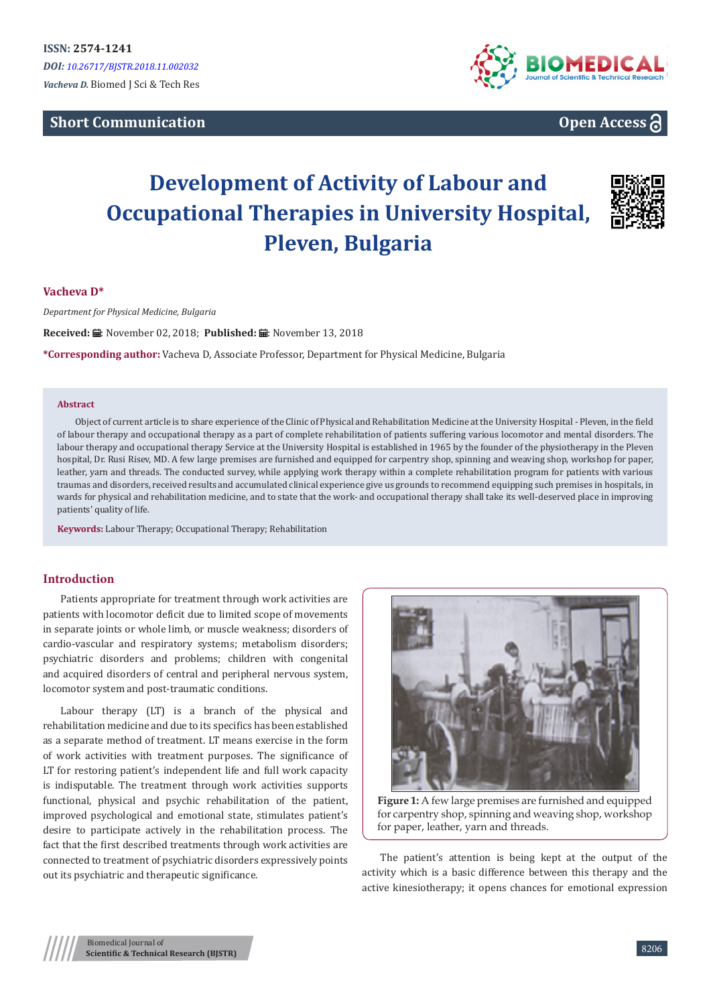## **Short Communication**



**Open Access**

# **Development of Activity of Labour and Occupational Therapies in University Hospital, Pleven, Bulgaria**



#### **Vacheva D\***

*Department for Physical Medicine, Bulgaria*

Received: B: November 02, 2018; Published: B: November 13, 2018

**\*Corresponding author:** Vacheva D, Associate Professor, Department for Physical Medicine, Bulgaria

#### **Abstract**

Object of current article is to share experience of the Clinic of Physical and Rehabilitation Medicine at the University Hospital - Pleven, in the field of labour therapy and occupational therapy as a part of complete rehabilitation of patients suffering various locomotor and mental disorders. The labour therapy and occupational therapy Service at the University Hospital is established in 1965 by the founder of the physiotherapy in the Pleven hospital, Dr. Rusi Risev, MD. A few large premises are furnished and equipped for carpentry shop, spinning and weaving shop, workshop for paper, leather, yarn and threads. The conducted survey, while applying work therapy within a complete rehabilitation program for patients with various traumas and disorders, received results and accumulated clinical experience give us grounds to recommend equipping such premises in hospitals, in wards for physical and rehabilitation medicine, and to state that the work- and occupational therapy shall take its well-deserved place in improving patients' quality of life.

**Keywords:** Labour Therapy; Occupational Therapy; Rehabilitation

#### **Introduction**

Patients appropriate for treatment through work activities are patients with locomotor deficit due to limited scope of movements in separate joints or whole limb, or muscle weakness; disorders of cardio-vascular and respiratory systems; metabolism disorders; psychiatric disorders and problems; children with congenital and acquired disorders of central and peripheral nervous system, locomotor system and post-traumatic conditions.

Labour therapy (LT) is a branch of the physical and rehabilitation medicine and due to its specifics has been established as a separate method of treatment. LT means exercise in the form of work activities with treatment purposes. The significance of LT for restoring patient's independent life and full work capacity is indisputable. The treatment through work activities supports functional, physical and psychic rehabilitation of the patient, improved psychological and emotional state, stimulates patient's desire to participate actively in the rehabilitation process. The fact that the first described treatments through work activities are connected to treatment of psychiatric disorders expressively points out its psychiatric and therapeutic significance.



**Figure 1:** A few large premises are furnished and equipped for carpentry shop, spinning and weaving shop, workshop for paper, leather, yarn and threads.

The patient's attention is being kept at the output of the activity which is a basic difference between this therapy and the active kinesiotherapy; it opens chances for emotional expression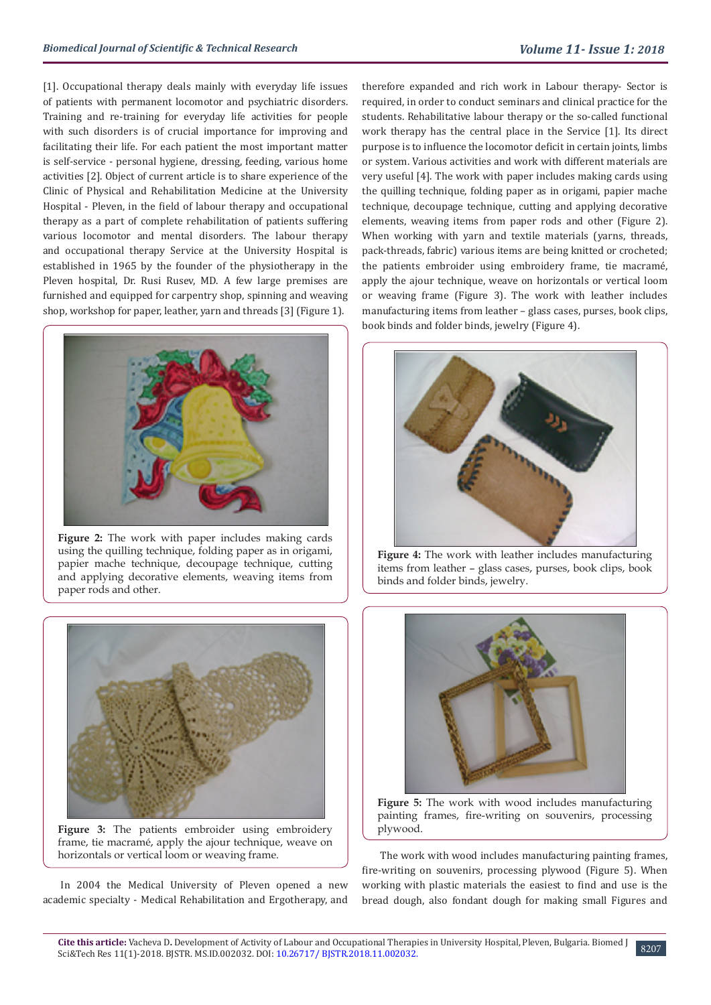[1]. Occupational therapy deals mainly with everyday life issues of patients with permanent locomotor and psychiatric disorders. Training and re-training for everyday life activities for people with such disorders is of crucial importance for improving and facilitating their life. For each patient the most important matter is self-service - personal hygiene, dressing, feeding, various home activities [2]. Object of current article is to share experience of the Clinic of Physical and Rehabilitation Medicine at the University Hospital - Pleven, in the field of labour therapy and occupational therapy as a part of complete rehabilitation of patients suffering various locomotor and mental disorders. The labour therapy and occupational therapy Service at the University Hospital is established in 1965 by the founder of the physiotherapy in the Pleven hospital, Dr. Rusi Rusev, MD. A few large premises are furnished and equipped for carpentry shop, spinning and weaving shop, workshop for paper, leather, yarn and threads [3] (Figure 1).



**Figure 2:** The work with paper includes making cards using the quilling technique, folding paper as in origami, papier mache technique, decoupage technique, cutting and applying decorative elements, weaving items from paper rods and other.



Figure 3: The patients embroider using embroidery frame, tie macramé, apply the ajour technique, weave on horizontals or vertical loom or weaving frame.

In 2004 the Medical University of Pleven opened a new academic specialty - Medical Rehabilitation and Ergotherapy, and

therefore expanded and rich work in Labour therapy- Sector is required, in order to conduct seminars and clinical practice for the students. Rehabilitative labour therapy or the so-called functional work therapy has the central place in the Service [1]. Its direct purpose is to influence the locomotor deficit in certain joints, limbs or system. Various activities and work with different materials are very useful [4]. The work with paper includes making cards using the quilling technique, folding paper as in origami, papier mache technique, decoupage technique, cutting and applying decorative elements, weaving items from paper rods and other (Figure 2). When working with yarn and textile materials (yarns, threads, pack-threads, fabric) various items are being knitted or crocheted; the patients embroider using embroidery frame, tie macramé, apply the ajour technique, weave on horizontals or vertical loom or weaving frame (Figure 3). The work with leather includes manufacturing items from leather – glass cases, purses, book clips, book binds and folder binds, jewelry (Figure 4).



**Figure 4:** The work with leather includes manufacturing items from leather – glass cases, purses, book clips, book binds and folder binds, jewelry.



**Figure 5:** The work with wood includes manufacturing painting frames, fire-writing on souvenirs, processing plywood.

The work with wood includes manufacturing painting frames, fire-writing on souvenirs, processing plywood (Figure 5). When working with plastic materials the easiest to find and use is the bread dough, also fondant dough for making small Figures and

8207